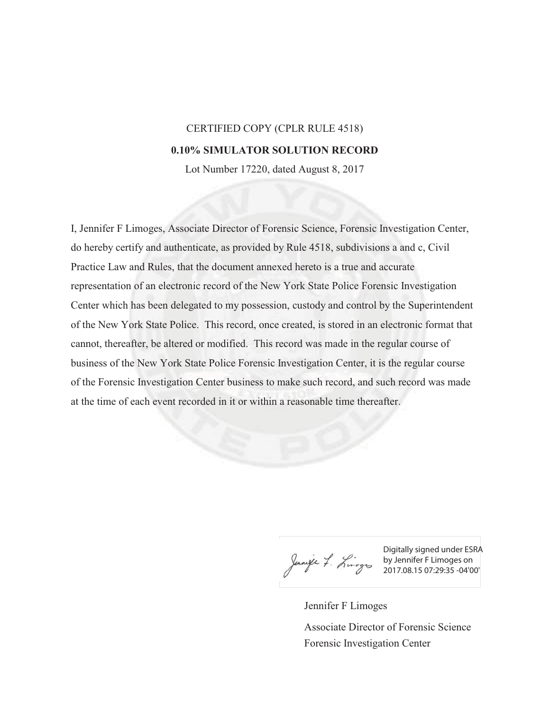## CERTIFIED COPY (CPLR RULE 4518)

## **0.10% SIMULATOR SOLUTION RECORD**

Lot Number 17220, dated August 8, 2017

I, Jennifer F Limoges, Associate Director of Forensic Science, Forensic Investigation Center, do hereby certify and authenticate, as provided by Rule 4518, subdivisions a and c, Civil Practice Law and Rules, that the document annexed hereto is a true and accurate representation of an electronic record of the New York State Police Forensic Investigation Center which has been delegated to my possession, custody and control by the Superintendent of the New York State Police. This record, once created, is stored in an electronic format that cannot, thereafter, be altered or modified. This record was made in the regular course of business of the New York State Police Forensic Investigation Center, it is the regular course of the Forensic Investigation Center business to make such record, and such record was made at the time of each event recorded in it or within a reasonable time thereafter.

Digitally signed under ESRA by Jennifer F Limoges on 2017.08.15 07:29:35 -04'00'

Jennifer F Limoges

Forensic Investigation Center Associate Director of Forensic Science